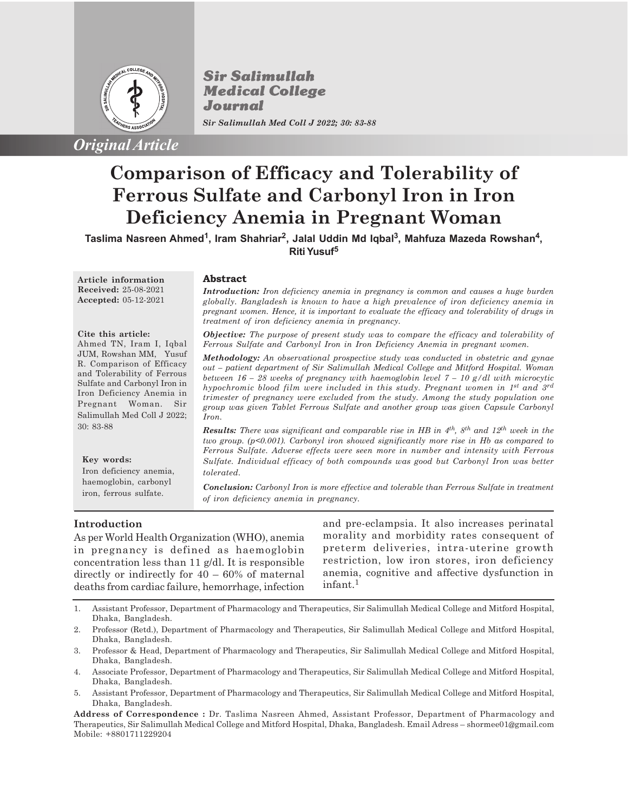

*Original Article*

**Sir Salimullah Medical College** Journal *Sir Salimullah Med Coll J 2022; 30: 83-88*

# **Comparison of Efficacy and Tolerability of Ferrous Sulfate and Carbonyl Iron in Iron Deficiency Anemia in Pregnant Woman**

**Taslima Nasreen Ahmed<sup>1</sup> , Iram Shahriar<sup>2</sup> , Jalal Uddin Md Iqbal<sup>3</sup> , Mahfuza Mazeda Rowshan<sup>4</sup> , Riti Yusuf<sup>5</sup>**

**Article information Received:** 25-08-2021 **Accepted:** 05-12-2021

Ahmed TN, Iram I, Iqbal JUM, Rowshan MM, Yusuf R. Comparison of Efficacy and Tolerability of Ferrous Sulfate and Carbonyl Iron in Iron Deficiency Anemia in Pregnant Woman. Sir Salimullah Med Coll J 2022;

**Cite this article:**

## **Abstract**

*Introduction: Iron deficiency anemia in pregnancy is common and causes a huge burden globally. Bangladesh is known to have a high prevalence of iron deficiency anemia in pregnant women. Hence, it is important to evaluate the efficacy and tolerability of drugs in treatment of iron deficiency anemia in pregnancy.*

*Objective: The purpose of present study was to compare the efficacy and tolerability of Ferrous Sulfate and Carbonyl Iron in Iron Deficiency Anemia in pregnant women.*

*Methodology: An observational prospective study was conducted in obstetric and gynae out – patient department of Sir Salimullah Medical College and Mitford Hospital. Woman between 16 – 28 weeks of pregnancy with haemoglobin level 7 – 10 g/dl with microcytic hypochromic blood film were included in this study. Pregnant women in 1st and 3rd trimester of pregnancy were excluded from the study. Among the study population one group was given Tablet Ferrous Sulfate and another group was given Capsule Carbonyl Iron.*

*Results: There was significant and comparable rise in HB in 4th, 8th and 12th week in the two group. (p<0.001). Carbonyl iron showed significantly more rise in Hb as compared to Ferrous Sulfate. Adverse effects were seen more in number and intensity with Ferrous Sulfate. Individual efficacy of both compounds was good but Carbonyl Iron was better tolerated.*

*Conclusion: Carbonyl Iron is more effective and tolerable than Ferrous Sulfate in treatment of iron deficiency anemia in pregnancy.*

# **Introduction**

**Key words:**

30: 83-88

Iron deficiency anemia, haemoglobin, carbonyl iron, ferrous sulfate.

As per World Health Organization (WHO), anemia in pregnancy is defined as haemoglobin concentration less than 11 g/dl. It is responsible directly or indirectly for 40 – 60% of maternal deaths from cardiac failure, hemorrhage, infection and pre-eclampsia. It also increases perinatal morality and morbidity rates consequent of preterm deliveries, intra-uterine growth restriction, low iron stores, iron deficiency anemia, cognitive and affective dysfunction in infant.<sup>1</sup>

- 1. Assistant Professor, Department of Pharmacology and Therapeutics, Sir Salimullah Medical College and Mitford Hospital, Dhaka, Bangladesh.
- 2. Professor (Retd.), Department of Pharmacology and Therapeutics, Sir Salimullah Medical College and Mitford Hospital, Dhaka, Bangladesh.
- 3. Professor & Head, Department of Pharmacology and Therapeutics, Sir Salimullah Medical College and Mitford Hospital, Dhaka, Bangladesh.
- 4. Associate Professor, Department of Pharmacology and Therapeutics, Sir Salimullah Medical College and Mitford Hospital, Dhaka, Bangladesh.
- 5. Assistant Professor, Department of Pharmacology and Therapeutics, Sir Salimullah Medical College and Mitford Hospital, Dhaka, Bangladesh.

**Address of Correspondence :** Dr. Taslima Nasreen Ahmed, Assistant Professor, Department of Pharmacology and Therapeutics, Sir Salimullah Medical College and Mitford Hospital, Dhaka, Bangladesh. Email Adress – shormee01@gmail.com Mobile: +8801711229204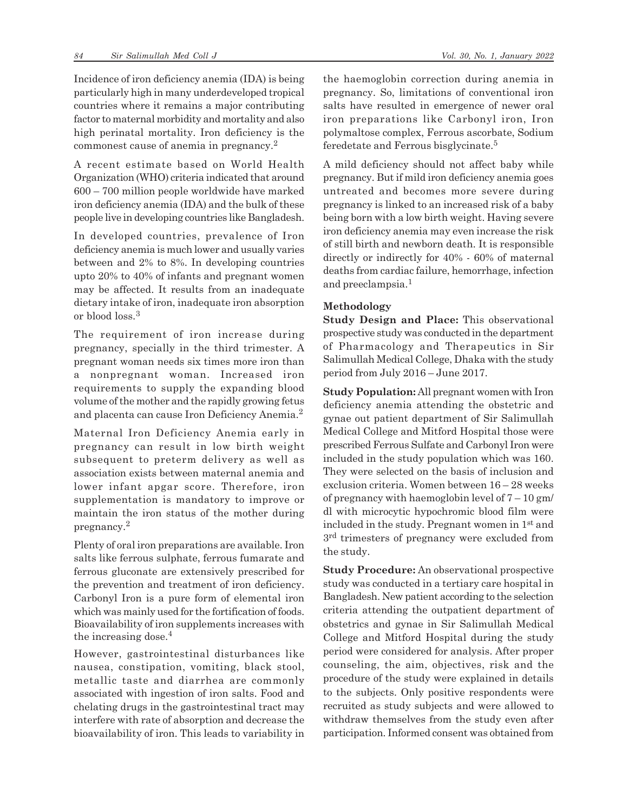Incidence of iron deficiency anemia (IDA) is being particularly high in many underdeveloped tropical countries where it remains a major contributing factor to maternal morbidity and mortality and also high perinatal mortality. Iron deficiency is the commonest cause of anemia in pregnancy.<sup>2</sup>

A recent estimate based on World Health Organization (WHO) criteria indicated that around 600 – 700 million people worldwide have marked iron deficiency anemia (IDA) and the bulk of these people live in developing countries like Bangladesh.

In developed countries, prevalence of Iron deficiency anemia is much lower and usually varies between and 2% to 8%. In developing countries upto 20% to 40% of infants and pregnant women may be affected. It results from an inadequate dietary intake of iron, inadequate iron absorption or blood loss.<sup>3</sup>

The requirement of iron increase during pregnancy, specially in the third trimester. A pregnant woman needs six times more iron than a nonpregnant woman. Increased iron requirements to supply the expanding blood volume of the mother and the rapidly growing fetus and placenta can cause Iron Deficiency Anemia.<sup>2</sup>

Maternal Iron Deficiency Anemia early in pregnancy can result in low birth weight subsequent to preterm delivery as well as association exists between maternal anemia and lower infant apgar score. Therefore, iron supplementation is mandatory to improve or maintain the iron status of the mother during pregnancy.<sup>2</sup>

Plenty of oral iron preparations are available. Iron salts like ferrous sulphate, ferrous fumarate and ferrous gluconate are extensively prescribed for the prevention and treatment of iron deficiency. Carbonyl Iron is a pure form of elemental iron which was mainly used for the fortification of foods. Bioavailability of iron supplements increases with the increasing dose.<sup>4</sup>

However, gastrointestinal disturbances like nausea, constipation, vomiting, black stool, metallic taste and diarrhea are commonly associated with ingestion of iron salts. Food and chelating drugs in the gastrointestinal tract may interfere with rate of absorption and decrease the bioavailability of iron. This leads to variability in the haemoglobin correction during anemia in pregnancy. So, limitations of conventional iron salts have resulted in emergence of newer oral iron preparations like Carbonyl iron, Iron polymaltose complex, Ferrous ascorbate, Sodium feredetate and Ferrous bisglycinate.<sup>5</sup>

A mild deficiency should not affect baby while pregnancy. But if mild iron deficiency anemia goes untreated and becomes more severe during pregnancy is linked to an increased risk of a baby being born with a low birth weight. Having severe iron deficiency anemia may even increase the risk of still birth and newborn death. It is responsible directly or indirectly for 40% - 60% of maternal deaths from cardiac failure, hemorrhage, infection and preeclampsia.<sup>1</sup>

## **Methodology**

**Study Design and Place:** This observational prospective study was conducted in the department of Pharmacology and Therapeutics in Sir Salimullah Medical College, Dhaka with the study period from July 2016 – June 2017.

**Study Population:** All pregnant women with Iron deficiency anemia attending the obstetric and gynae out patient department of Sir Salimullah Medical College and Mitford Hospital those were prescribed Ferrous Sulfate and Carbonyl Iron were included in the study population which was 160. They were selected on the basis of inclusion and exclusion criteria. Women between 16 – 28 weeks of pregnancy with haemoglobin level of  $7-10$  gm/ dl with microcytic hypochromic blood film were included in the study. Pregnant women in 1st and  $3<sup>rd</sup>$  trimesters of pregnancy were excluded from the study.

**Study Procedure:** An observational prospective study was conducted in a tertiary care hospital in Bangladesh. New patient according to the selection criteria attending the outpatient department of obstetrics and gynae in Sir Salimullah Medical College and Mitford Hospital during the study period were considered for analysis. After proper counseling, the aim, objectives, risk and the procedure of the study were explained in details to the subjects. Only positive respondents were recruited as study subjects and were allowed to withdraw themselves from the study even after participation. Informed consent was obtained from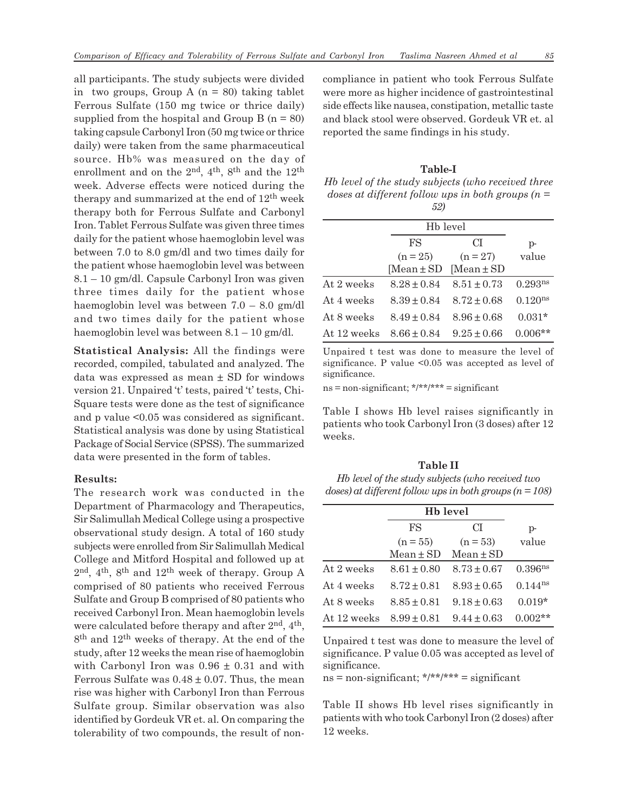all participants. The study subjects were divided in two groups, Group A  $(n = 80)$  taking tablet Ferrous Sulfate (150 mg twice or thrice daily) supplied from the hospital and Group B  $(n = 80)$ taking capsule Carbonyl Iron (50 mg twice or thrice daily) were taken from the same pharmaceutical source. Hb% was measured on the day of enrollment and on the  $2<sup>nd</sup>$ ,  $4<sup>th</sup>$ ,  $8<sup>th</sup>$  and the  $12<sup>th</sup>$ week. Adverse effects were noticed during the therapy and summarized at the end of  $12<sup>th</sup>$  week therapy both for Ferrous Sulfate and Carbonyl Iron. Tablet Ferrous Sulfate was given three times daily for the patient whose haemoglobin level was between 7.0 to 8.0 gm/dl and two times daily for the patient whose haemoglobin level was between 8.1 – 10 gm/dl. Capsule Carbonyl Iron was given three times daily for the patient whose haemoglobin level was between 7.0 – 8.0 gm/dl and two times daily for the patient whose haemoglobin level was between 8.1 – 10 gm/dl.

**Statistical Analysis:** All the findings were recorded, compiled, tabulated and analyzed. The data was expressed as mean  $\pm$  SD for windows version 21. Unpaired 't' tests, paired 't' tests, Chi-Square tests were done as the test of significance and p value <0.05 was considered as significant. Statistical analysis was done by using Statistical Package of Social Service (SPSS). The summarized data were presented in the form of tables.

## **Results:**

The research work was conducted in the Department of Pharmacology and Therapeutics, Sir Salimullah Medical College using a prospective observational study design. A total of 160 study subjects were enrolled from Sir Salimullah Medical College and Mitford Hospital and followed up at  $2<sup>nd</sup>$ , 4<sup>th</sup>, 8<sup>th</sup> and 12<sup>th</sup> week of therapy. Group A comprised of 80 patients who received Ferrous Sulfate and Group B comprised of 80 patients who received Carbonyl Iron. Mean haemoglobin levels were calculated before therapy and after  $2<sup>nd</sup>$ ,  $4<sup>th</sup>$ , 8<sup>th</sup> and 12<sup>th</sup> weeks of therapy. At the end of the study, after 12 weeks the mean rise of haemoglobin with Carbonyl Iron was  $0.96 \pm 0.31$  and with Ferrous Sulfate was  $0.48 \pm 0.07$ . Thus, the mean rise was higher with Carbonyl Iron than Ferrous Sulfate group. Similar observation was also identified by Gordeuk VR et. al. On comparing the tolerability of two compounds, the result of noncompliance in patient who took Ferrous Sulfate were more as higher incidence of gastrointestinal side effects like nausea, constipation, metallic taste and black stool were observed. Gordeuk VR et. al reported the same findings in his study.

**Table-I** *Hb level of the study subjects (who received three doses at different follow ups in both groups (n = 52)*

|             |                 | H <sub>b</sub> level |                     |
|-------------|-----------------|----------------------|---------------------|
|             | <b>FS</b>       | СI                   | $p-$                |
|             | $(n = 25)$      | $(n = 27)$           | value               |
|             | [Mean ± SD      | [Mean $\pm$ SD       |                     |
| At 2 weeks  | $8.28 + 0.84$   | $8.51 + 0.73$        | 0.293 <sup>ns</sup> |
| At 4 weeks  | $8.39 \pm 0.84$ | $8.72 + 0.68$        | $0.120^{ns}$        |
| At 8 weeks  | $8.49 \pm 0.84$ | $8.96 + 0.68$        | $0.031*$            |
| At 12 weeks | $8.66 \pm 0.84$ | $9.25 \pm 0.66$      | $0.006**$           |

Unpaired t test was done to measure the level of significance. P value <0.05 was accepted as level of significance.

 $ns = non-significant;$  \*/\*\*/\*\*\* = significant

Table I shows Hb level raises significantly in patients who took Carbonyl Iron (3 doses) after 12 weeks.

# **Table II** *Hb level of the study subjects (who received two doses) at different follow ups in both groups (n = 108)*

|             | H <sub>b</sub> level |                 |                     |
|-------------|----------------------|-----------------|---------------------|
|             | FS                   | СI              | $p-$                |
|             | $(n = 55)$           | $(n = 53)$      | value               |
|             | $Mean \pm SD$        | $Mean \pm SD$   |                     |
| At 2 weeks  | $8.61 \pm 0.80$      | $8.73 \pm 0.67$ | 0.396 <sup>ns</sup> |
| At 4 weeks  | $8.72 \pm 0.81$      | $8.93 \pm 0.65$ | $0.144^{ns}$        |
| At 8 weeks  | $8.85 \pm 0.81$      | $9.18 \pm 0.63$ | $0.019*$            |
| At 12 weeks | $8.99 \pm 0.81$      | $9.44 \pm 0.63$ | $0.002**$           |

Unpaired t test was done to measure the level of significance. P value 0.05 was accepted as level of significance.

 $ns = non-significant;$  \*/\*\*/\*\*\* = significant

Table II shows Hb level rises significantly in patients with who took Carbonyl Iron (2 doses) after 12 weeks.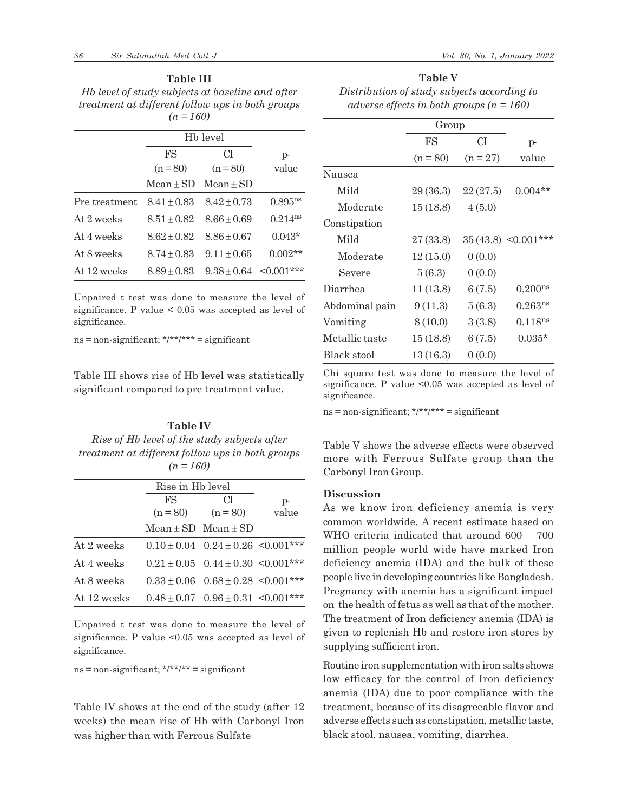#### **Table III**

*Hb level of study subjects at baseline and after treatment at different follow ups in both groups (n = 160)*

|               | H <sub>b</sub> level |                 |                       |
|---------------|----------------------|-----------------|-----------------------|
|               | FS                   | СĪ              | $p-$                  |
|               | $(n=80)$             | $(n=80)$        | value                 |
|               | $Mean + SD$          | $Mean + SD$     |                       |
| Pre treatment | $8.41 + 0.83$        | $8.42 + 0.73$   | $0.895$ <sup>ns</sup> |
| At 2 weeks    | $8.51 + 0.82$        | $8.66 + 0.69$   | $0.214$ <sup>ns</sup> |
| At 4 weeks    | $8.62 + 0.82$        | $8.86 + 0.67$   | $0.043*$              |
| At 8 weeks    | $8.74 + 0.83$        | $9.11 + 0.65$   | $0.002**$             |
| At 12 weeks   | $8.89 + 0.83$        | $9.38 \pm 0.64$ | $<0.001***$           |

Unpaired t test was done to measure the level of significance. P value < 0.05 was accepted as level of significance.

 $ns = non-significant; \frac{\star}{\cdot} \frac{\star}{\cdot} \frac{\star}{\cdot} \frac{\star}{\cdot} \frac{\star}{\cdot} \frac{\star}{\cdot} \frac{\star}{\cdot} \frac{\star}{\cdot} \frac{\star}{\cdot} \frac{\star}{\cdot} \frac{\star}{\cdot} \frac{\star}{\cdot} \frac{\star}{\cdot} \frac{\star}{\cdot} \frac{\star}{\cdot} \frac{\star}{\cdot} \frac{\star}{\cdot} \frac{\star}{\cdot} \frac{\star}{\cdot} \frac{\star}{\cdot} \frac{\star}{\cdot} \frac{\star}{\cdot} \frac{\star}{\cdot} \frac{\star}{\cdot} \frac{\star}{\cdot} \frac{\star}{\cdot} \frac{\star}{\$ 

Table III shows rise of Hb level was statistically significant compared to pre treatment value.

# **Table IV** *Rise of Hb level of the study subjects after treatment at different follow ups in both groups (n = 160)*

|             | Rise in Hb level            |                                           |       |
|-------------|-----------------------------|-------------------------------------------|-------|
|             | FS                          | CТ                                        | $p-$  |
|             | $(n = 80)$                  | $(n = 80)$                                | value |
|             | $Mean \pm SD$ Mean $\pm SD$ |                                           |       |
| At 2 weeks  |                             | $0.10 \pm 0.04$ $0.24 \pm 0.26$ <0.001*** |       |
| At 4 weeks  |                             | $0.21 \pm 0.05$ $0.44 \pm 0.30$ <0.001*** |       |
| At 8 weeks  |                             | $0.33 \pm 0.06$ $0.68 \pm 0.28$ <0.001*** |       |
| At 12 weeks |                             | $0.48 \pm 0.07$ $0.96 \pm 0.31$ <0.001*** |       |

Unpaired t test was done to measure the level of significance. P value <0.05 was accepted as level of significance.

 $ns = non-significant; \frac{*}{*} \cdot \frac{*}{*} = significant$ 

Table IV shows at the end of the study (after 12 weeks) the mean rise of Hb with Carbonyl Iron was higher than with Ferrous Sulfate

**Table V**

| Distribution of study subjects according to  |
|----------------------------------------------|
| adverse effects in both groups ( $n = 160$ ) |

|                | Group      |            |                       |  |
|----------------|------------|------------|-----------------------|--|
|                | FS         | СI         | p-                    |  |
|                | $(n = 80)$ | $(n = 27)$ | value                 |  |
| Nausea         |            |            |                       |  |
| Mild           | 29 (36.3)  | 22(27.5)   | $0.004**$             |  |
| Moderate       | 15(18.8)   | 4(5.0)     |                       |  |
| Constipation   |            |            |                       |  |
| Mild           | 27 (33.8)  |            | $35(43.8)$ < 0.001*** |  |
| Moderate       | 12(15.0)   | 0(0.0)     |                       |  |
| Severe         | 5(6.3)     | 0(0.0)     |                       |  |
| Diarrhea       | 11(13.8)   | 6(7.5)     | 0.200 <sup>ns</sup>   |  |
| Abdominal pain | 9(11.3)    | 5(6.3)     | 0.263 <sup>ns</sup>   |  |
| Vomiting       | 8(10.0)    | 3(3.8)     | 0.118 <sup>ns</sup>   |  |
| Metallic taste | 15(18.8)   | 6(7.5)     | $0.035*$              |  |
| Black stool    | 13(16.3)   | 0(0.0)     |                       |  |

Chi square test was done to measure the level of significance. P value <0.05 was accepted as level of significance.

ns = non-significant; \*/\*\*/\*\*\* = significant

Table V shows the adverse effects were observed more with Ferrous Sulfate group than the Carbonyl Iron Group.

#### **Discussion**

As we know iron deficiency anemia is very common worldwide. A recent estimate based on WHO criteria indicated that around 600 – 700 million people world wide have marked Iron deficiency anemia (IDA) and the bulk of these people live in developing countries like Bangladesh. Pregnancy with anemia has a significant impact on the health of fetus as well as that of the mother. The treatment of Iron deficiency anemia (IDA) is given to replenish Hb and restore iron stores by supplying sufficient iron.

Routine iron supplementation with iron salts shows low efficacy for the control of Iron deficiency anemia (IDA) due to poor compliance with the treatment, because of its disagreeable flavor and adverse effects such as constipation, metallic taste, black stool, nausea, vomiting, diarrhea.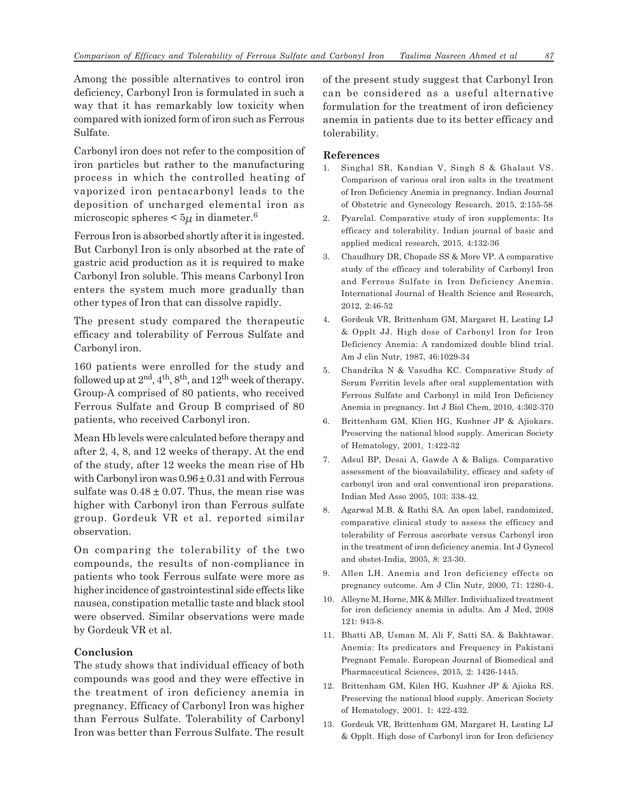Among the possible alternatives to control iron deficiency, Carbonyl Iron is formulated in such a way that it has remarkably low toxicity when compared with ionized form of iron such as Ferrous Sulfate.

Carbonyl iron does not refer to the composition of iron particles but rather to the manufacturing process in which the controlled heating of vaporized iron pentacarbonyl leads to the deposition of uncharged elemental iron as microscopic spheres  $\leq 5\mu$  in diameter.<sup>6</sup>

Ferrous Iron is absorbed shortly after it is ingested. But Carbonyl Iron is only absorbed at the rate of gastric acid production as it is required to make Carbonyl Iron soluble. This means Carbonyl Iron enters the system much more gradually than other types of Iron that can dissolve rapidly.

The present study compared the therapeutic efficacy and tolerability of Ferrous Sulfate and Carbonyl iron.

160 patients were enrolled for the study and followed up at  $2<sup>nd</sup>$ ,  $4<sup>th</sup>$ ,  $8<sup>th</sup>$ , and  $12<sup>th</sup>$  week of therapy. Group-A comprised of 80 patients, who received Ferrous Sulfate and Group B comprised of 80 patients, who received Carbonyl iron.

Mean Hb levels were calculated before therapy and after 2, 4, 8, and 12 weeks of therapy. At the end of the study, after 12 weeks the mean rise of Hb with Carbonyl iron was  $0.96 \pm 0.31$  and with Ferrous sulfate was  $0.48 \pm 0.07$ . Thus, the mean rise was higher with Carbonyl iron than Ferrous sulfate group. Gordeuk VR et al. reported similar observation.

On comparing the tolerability of the two compounds, the results of non-compliance in patients who took Ferrous sulfate were more as higher incidence of gastrointestinal side effects like nausea, constipation metallic taste and black stool were observed. Similar observations were made by Gordeuk VR et al.

## **Conclusion**

The study shows that individual efficacy of both compounds was good and they were effective in the treatment of iron deficiency anemia in pregnancy. Efficacy of Carbonyl Iron was higher than Ferrous Sulfate. Tolerability of Carbonyl Iron was better than Ferrous Sulfate. The result of the present study suggest that Carbonyl Iron can be considered as a useful alternative formulation for the treatment of iron deficiency anemia in patients due to its better efficacy and tolerability.

#### **References**

- 1. Singhal SR, Kandian V, Singh S & Ghalaut VS. Comparison of various oral iron salts in the treatment of Iron Deficiency Anemia in pregnancy. Indian Journal of Obstetric and Gynecology Research, 2015, 2:155-58
- 2. Pyarelal. Comparative study of iron supplements: Its efficacy and tolerability. Indian journal of basic and applied medical research, 2015, 4:132-36
- 3. Chaudhury DR, Chopade SS & More VP. A comparative study of the efficacy and tolerability of Carbonyl Iron and Ferrous Sulfate in Iron Deficiency Anemia. International Journal of Health Science and Research, 2012, 2:46-52
- 4. Gordeuk VR, Brittenham GM, Margaret H, Leating LJ & Opplt JJ. High dose of Carbonyl Iron for Iron Deficiency Anemia: A randomized double blind trial. Am J clin Nutr, 1987, 46:1029-34
- 5. Chandrika N & Vasudha KC. Comparative Study of Serum Ferritin levels after oral supplementation with Ferrous Sulfate and Carbonyl in mild Iron Deficiency Anemia in pregnancy. Int J Biol Chem, 2010, 4:362-370
- 6. Brittenham GM, Klien HG, Kushner JP & Ajiokars. Preserving the national blood supply. American Society of Hematology, 2001, 1:422-32
- 7. Adsul BP, Desai A, Gawde A & Baliga. Comparative assessment of the bioavailability, efficacy and safety of carbonyl iron and oral conventional iron preparations. Indian Med Asso 2005, 103: 338-42.
- 8. Agarwal M.B. & Rathi SA. An open label, randomized, comparative clinical study to assess the efficacy and tolerability of Ferrous ascorbate versus Carbonyl iron in the treatment of iron deficiency anemia. Int J Gynecol and obstet-India, 2005, 8: 23-30.
- 9. Allen LH. Anemia and Iron deficiency effects on pregnancy outcome. Am J Clin Nutr, 2000, 71: 1280-4.
- 10. Alleyne M, Horne, MK & Miller. Individualized treatment for iron deficiency anemia in adults. Am J Med, 2008 121: 943-8.
- 11. Bhatti AB, Usman M, Ali F, Satti SA. & Bakhtawar. Anemia: Its predicators and Frequency in Pakistani Pregnant Female. European Journal of Biomedical and Pharmaceutical Sciences, 2015, 2: 1426-1445.
- 12. Brittenham GM, Kilen HG, Kushner JP & Ajioka RS. Preserving the national blood supply. American Society of Hematology, 2001. 1: 422-432.
- 13. Gordeuk VR, Brittenham GM, Margaret H, Leating LJ & Opplt. High dose of Carbonyl iron for Iron deficiency